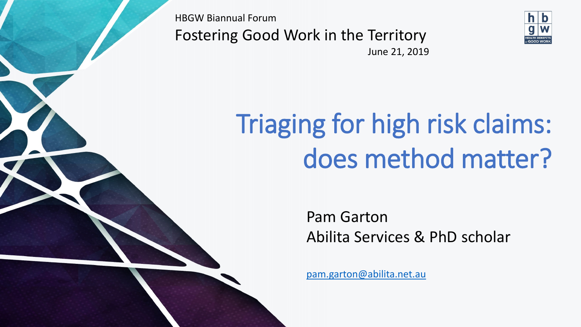HBGW Biannual Forum Fostering Good Work in the Territory



June 21, 2019

# Triaging for high risk claims: does method matter?

Pam Garton Abilita Services & PhD scholar

[pam.garton@abilita.net.au](mailto:pam.garton@abilita.net.au)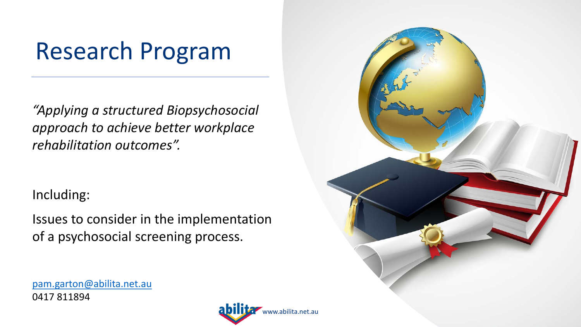## Research Program

*"Applying a structured Biopsychosocial approach to achieve better workplace rehabilitation outcomes".*

Including:

Issues to consider in the implementation of a psychosocial screening process.

[pam.garton@abilita.net.au](mailto:pam.garton@abilita.net.au) 0417 811894



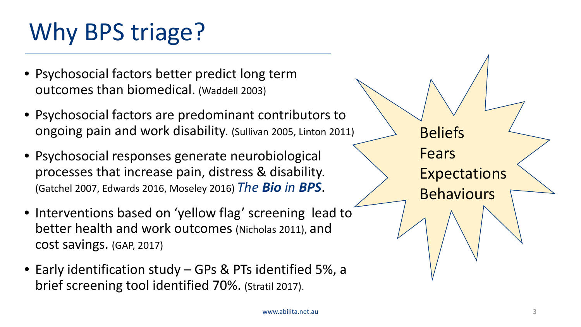## Why BPS triage?

- Psychosocial factors better predict long term outcomes than biomedical. (Waddell 2003)
- Psychosocial factors are predominant contributors to ongoing pain and work disability. (Sullivan 2005, Linton 2011)
- Psychosocial responses generate neurobiological processes that increase pain, distress & disability. (Gatchel 2007, Edwards 2016, Moseley 2016) *The Bio in BPS*.
- Interventions based on 'yellow flag' screening lead to better health and work outcomes (Nicholas 2011), and cost savings. (GAP, 2017)
- Early identification study GPs & PTs identified 5%, a brief screening tool identified 70%. (Stratil 2017).

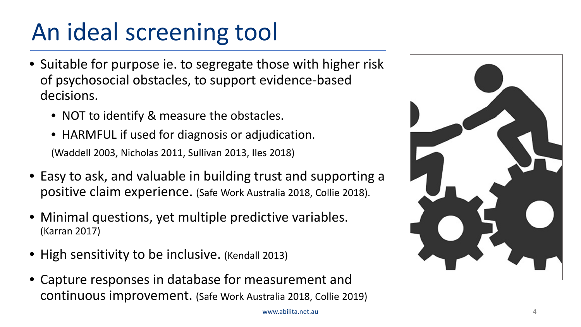## An ideal screening tool

- Suitable for purpose ie. to segregate those with higher risk of psychosocial obstacles, to support evidence-based decisions.
	- NOT to identify & measure the obstacles.
	- HARMFUL if used for diagnosis or adjudication. (Waddell 2003, Nicholas 2011, Sullivan 2013, Iles 2018)
- Easy to ask, and valuable in building trust and supporting a positive claim experience. (Safe Work Australia 2018, Collie 2018).
- Minimal questions, yet multiple predictive variables. (Karran 2017)
- High sensitivity to be inclusive. (Kendall 2013)
- Capture responses in database for measurement and continuous improvement. (Safe Work Australia 2018, Collie 2019)

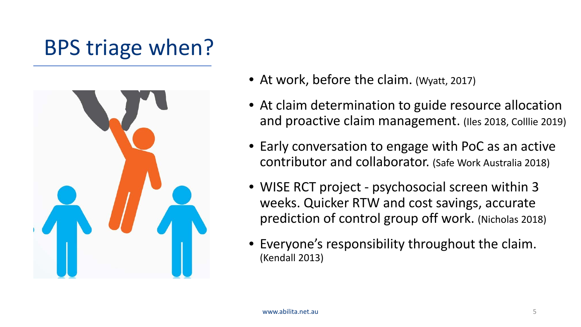## BPS triage when?



- At work, before the claim. (Wyatt, 2017)
- At claim determination to guide resource allocation and proactive claim management. (Iles 2018, Colllie 2019)
- Early conversation to engage with PoC as an active contributor and collaborator. (Safe Work Australia 2018)
- WISE RCT project psychosocial screen within 3 weeks. Quicker RTW and cost savings, accurate prediction of control group off work. (Nicholas 2018)
- Everyone's responsibility throughout the claim. (Kendall 2013)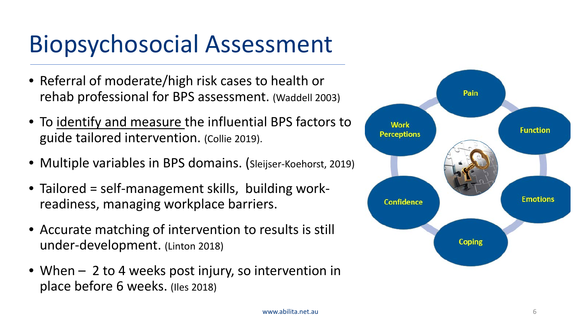## Biopsychosocial Assessment

- Referral of moderate/high risk cases to health or rehab professional for BPS assessment. (Waddell 2003)
- To identify and measure the influential BPS factors to guide tailored intervention. (Collie 2019).
- Multiple variables in BPS domains. (Sleijser-Koehorst, 2019)
- Tailored = self-management skills, building workreadiness, managing workplace barriers.
- Accurate matching of intervention to results is still under-development. (Linton 2018)
- When 2 to 4 weeks post injury, so intervention in place before 6 weeks. (Iles 2018)

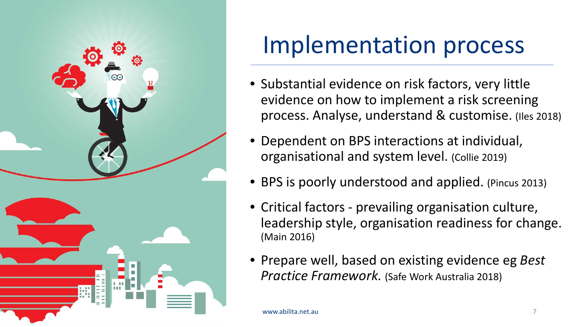

## Implementation process

- Substantial evidence on risk factors, very little evidence on how to implement a risk screening process. Analyse, understand & customise. (Iles 2018)
- Dependent on BPS interactions at individual, organisational and system level. (Collie 2019)
- BPS is poorly understood and applied. (Pincus 2013)
- Critical factors prevailing organisation culture, leadership style, organisation readiness for change. (Main 2016)
- Prepare well, based on existing evidence eg *Best Practice Framework.* (Safe Work Australia 2018)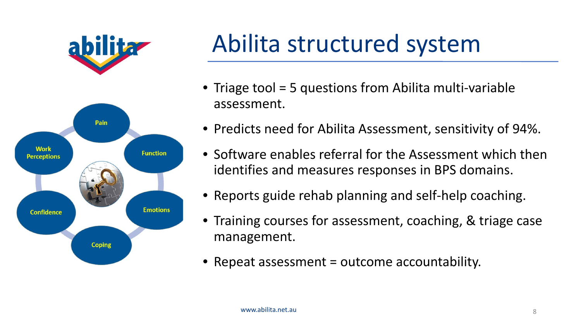



## Abilita structured system

- Triage tool = 5 questions from Abilita multi-variable assessment.
- Predicts need for Abilita Assessment, sensitivity of 94%.
- Software enables referral for the Assessment which then identifies and measures responses in BPS domains.
- Reports guide rehab planning and self-help coaching.
- Training courses for assessment, coaching, & triage case management.
- Repeat assessment = outcome accountability.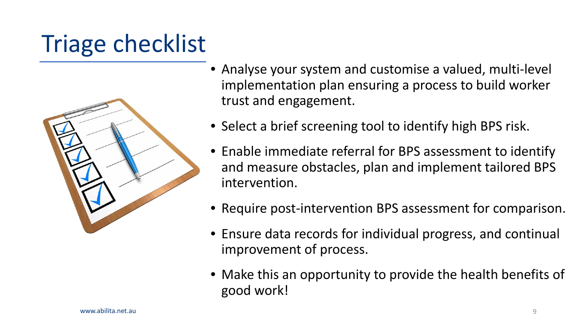## Triage checklist



- Analyse your system and customise a valued, multi-level implementation plan ensuring a process to build worker trust and engagement.
- Select a brief screening tool to identify high BPS risk.
- Enable immediate referral for BPS assessment to identify and measure obstacles, plan and implement tailored BPS intervention.
- Require post-intervention BPS assessment for comparison.
- Ensure data records for individual progress, and continual improvement of process.
- Make this an opportunity to provide the health benefits of good work!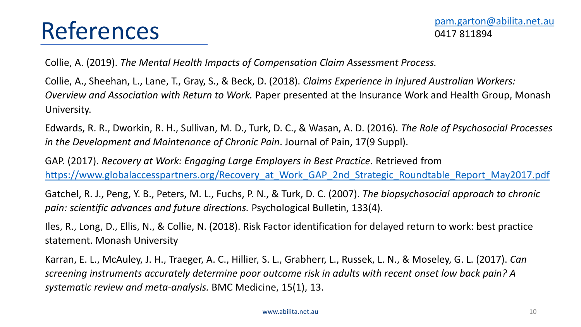Collie, A. (2019). *The Mental Health Impacts of Compensation Claim Assessment Process.* 

Collie, A., Sheehan, L., Lane, T., Gray, S., & Beck, D. (2018). *Claims Experience in Injured Australian Workers: Overview and Association with Return to Work.* Paper presented at the Insurance Work and Health Group, Monash University.

Edwards, R. R., Dworkin, R. H., Sullivan, M. D., Turk, D. C., & Wasan, A. D. (2016). *The Role of Psychosocial Processes in the Development and Maintenance of Chronic Pain*. Journal of Pain, 17(9 Suppl).

GAP. (2017). *Recovery at Work: Engaging Large Employers in Best Practice*. Retrieved from https://www.globalaccesspartners.org/Recovery at Work GAP 2nd Strategic Roundtable Report May2017.pdf

Gatchel, R. J., Peng, Y. B., Peters, M. L., Fuchs, P. N., & Turk, D. C. (2007). *The biopsychosocial approach to chronic pain: scientific advances and future directions.* Psychological Bulletin, 133(4).

Iles, R., Long, D., Ellis, N., & Collie, N. (2018). Risk Factor identification for delayed return to work: best practice statement. Monash University

Karran, E. L., McAuley, J. H., Traeger, A. C., Hillier, S. L., Grabherr, L., Russek, L. N., & Moseley, G. L. (2017). *Can screening instruments accurately determine poor outcome risk in adults with recent onset low back pain? A systematic review and meta-analysis.* BMC Medicine, 15(1), 13.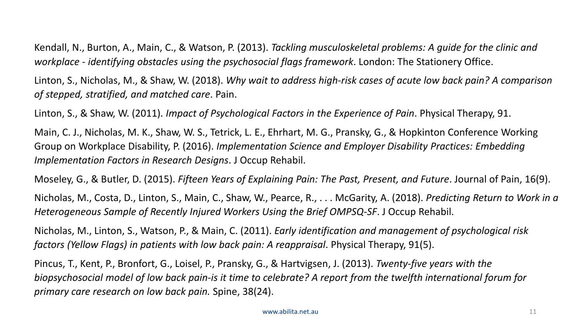Kendall, N., Burton, A., Main, C., & Watson, P. (2013). *Tackling musculoskeletal problems: A guide for the clinic and workplace - identifying obstacles using the psychosocial flags framework*. London: The Stationery Office.

Linton, S., Nicholas, M., & Shaw, W. (2018). *Why wait to address high-risk cases of acute low back pain? A comparison of stepped, stratified, and matched care*. Pain.

Linton, S., & Shaw, W. (2011). *Impact of Psychological Factors in the Experience of Pain*. Physical Therapy, 91.

Main, C. J., Nicholas, M. K., Shaw, W. S., Tetrick, L. E., Ehrhart, M. G., Pransky, G., & Hopkinton Conference Working Group on Workplace Disability, P. (2016). *Implementation Science and Employer Disability Practices: Embedding Implementation Factors in Research Designs*. J Occup Rehabil.

Moseley, G., & Butler, D. (2015). *Fifteen Years of Explaining Pain: The Past, Present, and Future*. Journal of Pain, 16(9).

Nicholas, M., Costa, D., Linton, S., Main, C., Shaw, W., Pearce, R., . . . McGarity, A. (2018). *Predicting Return to Work in a Heterogeneous Sample of Recently Injured Workers Using the Brief OMPSQ-SF*. J Occup Rehabil.

Nicholas, M., Linton, S., Watson, P., & Main, C. (2011). *Early identification and management of psychological risk factors (Yellow Flags) in patients with low back pain: A reappraisal*. Physical Therapy, 91(5).

Pincus, T., Kent, P., Bronfort, G., Loisel, P., Pransky, G., & Hartvigsen, J. (2013). *Twenty-five years with the biopsychosocial model of low back pain-is it time to celebrate? A report from the twelfth international forum for primary care research on low back pain.* Spine, 38(24).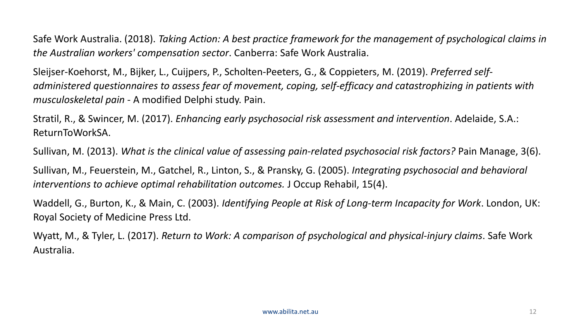Safe Work Australia. (2018). *Taking Action: A best practice framework for the management of psychological claims in the Australian workers' compensation sector*. Canberra: Safe Work Australia.

Sleijser-Koehorst, M., Bijker, L., Cuijpers, P., Scholten-Peeters, G., & Coppieters, M. (2019). *Preferred selfadministered questionnaires to assess fear of movement, coping, self-efficacy and catastrophizing in patients with musculoskeletal pain* - A modified Delphi study. Pain.

Stratil, R., & Swincer, M. (2017). *Enhancing early psychosocial risk assessment and intervention*. Adelaide, S.A.: ReturnToWorkSA.

Sullivan, M. (2013). *What is the clinical value of assessing pain-related psychosocial risk factors?* Pain Manage, 3(6).

Sullivan, M., Feuerstein, M., Gatchel, R., Linton, S., & Pransky, G. (2005). *Integrating psychosocial and behavioral interventions to achieve optimal rehabilitation outcomes.* J Occup Rehabil, 15(4).

Waddell, G., Burton, K., & Main, C. (2003). *Identifying People at Risk of Long-term Incapacity for Work*. London, UK: Royal Society of Medicine Press Ltd.

Wyatt, M., & Tyler, L. (2017). *Return to Work: A comparison of psychological and physical-injury claims*. Safe Work Australia.